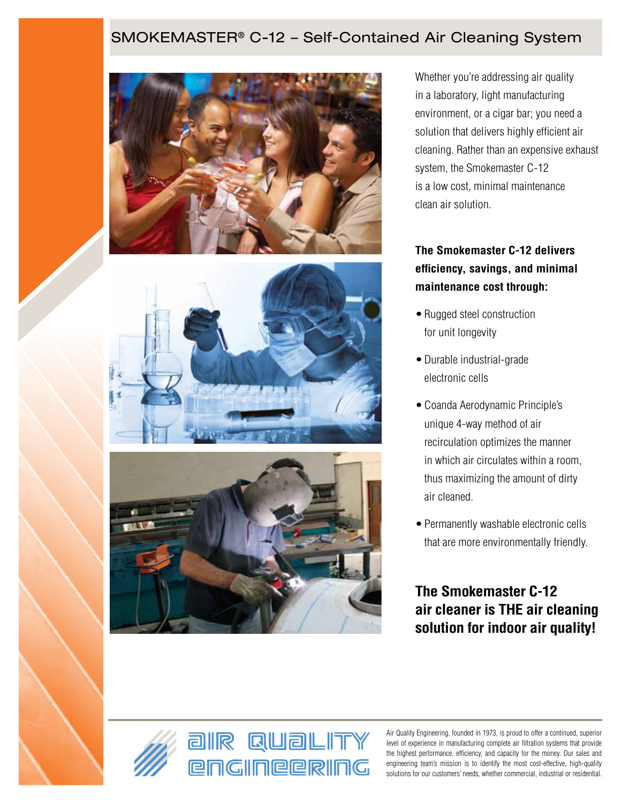# SMOKEMASTER® C-12 – Self-Contained Air Cleaning System







Whether you're addressing air quality in a laboratory, light manufacturing environment, or a cigar bar; you need a solution that delivers highly efficient air cleaning. Rather than an expensive exhaust system, the Smokemaster C-12 is a low cost, minimal maintenance clean air solution.

# **The Smokemaster C-12 delivers efficiency, savings, and minimal maintenance cost through:**

- Rugged steel construction for unit longevity
- •Durable industrial-grade electronic cells
- •Coanda Aerodynamic Principle's unique 4-way method of air recirculation optimizes the manner in which air circulates within a room, thus maximizing the amount of dirty air cleaned.
- Permanently washable electronic cells that are more environmentally friendly.

**The Smokemaster C-12 air cleaner is THE air cleaning solution for indoor air quality!**





Air Quality Engineering, founded in 1973, is proud to offer a continued, superior level of experience in manufacturing complete air filtration systems that provide the highest performance, efficiency, and capacity for the money. Our sales and engineering team's mission is to identify the most cost-effective, high-quality solutions for our customers' needs, whether commercial, industrial or residential.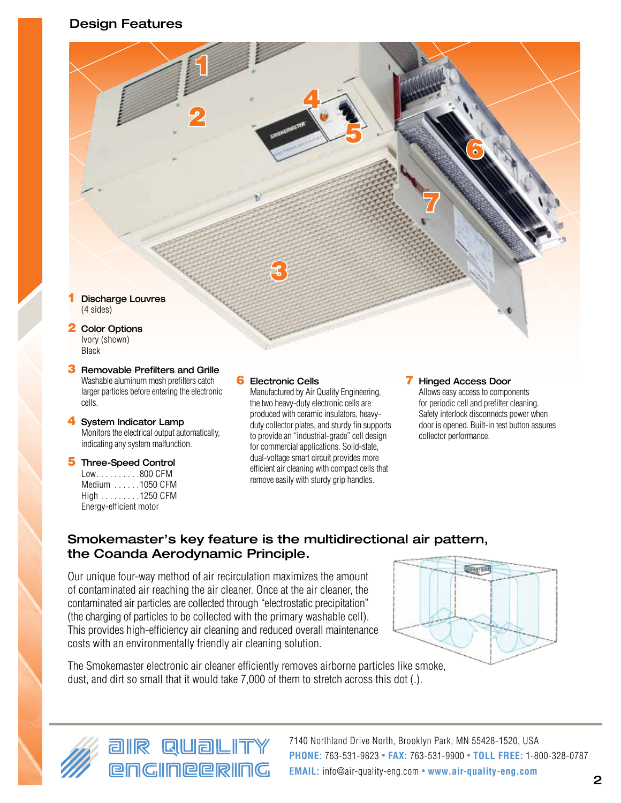# Design Features



- **3** Removable Prefilters and Grille Washable aluminum mesh prefilters catch larger particles before entering the electronic cells.
- 4 System Indicator Lamp Monitors the electrical output automatically, indicating any system malfunction.
- 5 Three-Speed Control  $Low \dots \dots \dots 800$  CFM Medium ......1050 CFM High . . . . . . . . . 1250 CFM Energy-efficient motor

# **6** Electronic Cells

Manufactured by Air Quality Engineering, the two heavy-duty electronic cells are produced with ceramic insulators, heavyduty collector plates, and sturdy fin supports to provide an "industrial-grade" cell design for commercial applications. Solid-state, dual-voltage smart circuit provides more efficient air cleaning with compact cells that remove easily with sturdy grip handles.

#### **7** Hinged Access Door

Allows easy access to components for periodic cell and prefilter cleaning. Safety interlock disconnects power when door is opened. Built-in test button assures collector performance.

# Smokemaster's key feature is the multidirectional air pattern, the Coanda Aerodynamic Principle.

Our unique four-way method of air recirculation maximizes the amount of contaminated air reaching the air cleaner. Once at the air cleaner, the contaminated air particles are collected through "electrostatic precipitation" (the charging of particles to be collected with the primary washable cell). This provides high-efficiency air cleaning and reduced overall maintenance costs with an environmentally friendly air cleaning solution.



The Smokemaster electronic air cleaner efficiently removes airborne particles like smoke, dust, and dirt so small that it would take 7,000 of them to stretch across this dot (.).



air Quality **engIneerIng** 

7140 Northland Drive North, Brooklyn Park, MN 55428-1520, USA **PHONE:** 763-531-9823 • **FAX:** 763-531-9900 • **TOLL FREE:** 1-800-328-0787 **EMAIL:** info@air-quality-eng.com • **www.air-quality-eng.com**